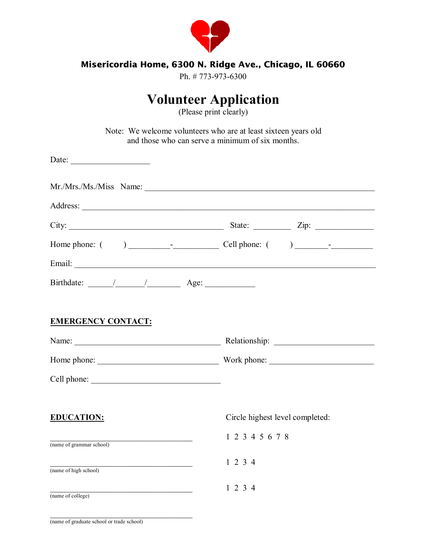

#### **Misericordia Home, 6300 N. Ridge Ave., Chicago, IL 60660**

Ph. # 773-973-6300

# **Volunteer Application**

(Please print clearly)

Note: We welcome volunteers who are at least sixteen years old and those who can serve a minimum of six months.

| Date: $\qquad \qquad$                                                                                                                                                                                                                                                                                                                                                                                          |                                                   |  |  |  |
|----------------------------------------------------------------------------------------------------------------------------------------------------------------------------------------------------------------------------------------------------------------------------------------------------------------------------------------------------------------------------------------------------------------|---------------------------------------------------|--|--|--|
|                                                                                                                                                                                                                                                                                                                                                                                                                |                                                   |  |  |  |
|                                                                                                                                                                                                                                                                                                                                                                                                                |                                                   |  |  |  |
|                                                                                                                                                                                                                                                                                                                                                                                                                | City: $\frac{2}{\pi}$ State: $\frac{2}{\pi}$ Zip: |  |  |  |
|                                                                                                                                                                                                                                                                                                                                                                                                                |                                                   |  |  |  |
|                                                                                                                                                                                                                                                                                                                                                                                                                |                                                   |  |  |  |
| Birthdate: $\frac{1}{\sqrt{1-\frac{1}{1-\frac{1}{1-\frac{1}{1-\frac{1}{1-\frac{1}{1-\frac{1}{1-\frac{1}{1-\frac{1}{1-\frac{1}{1-\frac{1}{1-\frac{1}{1-\frac{1}{1-\frac{1}{1-\frac{1}{1-\frac{1}{1-\frac{1}{1-\frac{1}{1-\frac{1}{1-\frac{1}{1-\frac{1}{1-\frac{1}{1-\frac{1}{1-\frac{1}{1-\frac{1}{1-\frac{1}{1-\frac{1}{1-\frac{1}{1-\frac{1}{1-\frac{1}{1-\frac{1}{1-\frac{1}{1-\frac{1}{1-\frac{1}{1-\frac$ |                                                   |  |  |  |
|                                                                                                                                                                                                                                                                                                                                                                                                                |                                                   |  |  |  |
| <b>EMERGENCY CONTACT:</b>                                                                                                                                                                                                                                                                                                                                                                                      |                                                   |  |  |  |
|                                                                                                                                                                                                                                                                                                                                                                                                                |                                                   |  |  |  |
|                                                                                                                                                                                                                                                                                                                                                                                                                |                                                   |  |  |  |
|                                                                                                                                                                                                                                                                                                                                                                                                                |                                                   |  |  |  |
|                                                                                                                                                                                                                                                                                                                                                                                                                |                                                   |  |  |  |
| <b>EDUCATION:</b>                                                                                                                                                                                                                                                                                                                                                                                              | Circle highest level completed:                   |  |  |  |
| <u> 1989 - Johann Stone, mars et al. (</u><br>(name of grammar school)                                                                                                                                                                                                                                                                                                                                         | 1 2 3 4 5 6 7 8                                   |  |  |  |
|                                                                                                                                                                                                                                                                                                                                                                                                                | 1234                                              |  |  |  |
| $(\text{name of high school})$                                                                                                                                                                                                                                                                                                                                                                                 |                                                   |  |  |  |
| <u> 1989 - Johann John Stein, mars an deus Amerikaansk kommunister (</u><br>$\overline{\text{(name of college)}}$                                                                                                                                                                                                                                                                                              | 1234                                              |  |  |  |

 $\mathcal{L}_\text{max}$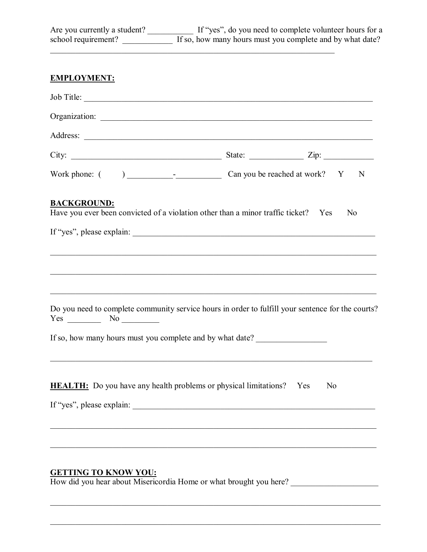| Are you currently a student? If "yes", do you need to complete volunteer hours for a school requirement? If so, how many hours must you complete and by what date?                      |                                                                                   |                |
|-----------------------------------------------------------------------------------------------------------------------------------------------------------------------------------------|-----------------------------------------------------------------------------------|----------------|
| <b>EMPLOYMENT:</b>                                                                                                                                                                      |                                                                                   |                |
| Job Title:                                                                                                                                                                              |                                                                                   |                |
|                                                                                                                                                                                         |                                                                                   |                |
|                                                                                                                                                                                         |                                                                                   |                |
|                                                                                                                                                                                         |                                                                                   |                |
|                                                                                                                                                                                         |                                                                                   |                |
| <b>BACKGROUND:</b><br>Have you ever been convicted of a violation other than a minor traffic ticket? Yes                                                                                | ,我们也不能在这里的人,我们也不能在这里的人,我们也不能在这里的人,我们也不能在这里的人,我们也不能在这里的人,我们也不能在这里的人,我们也不能在这里的人,我们也 | N <sub>0</sub> |
| Do you need to complete community service hours in order to fulfill your sentence for the courts?<br>$Yes \t\t No \t\t No$<br>If so, how many hours must you complete and by what date? |                                                                                   |                |
| <b>HEALTH:</b> Do you have any health problems or physical limitations? Yes                                                                                                             |                                                                                   | N <sub>0</sub> |
| <b>GETTING TO KNOW YOU:</b><br>How did you hear about Misericordia Home or what brought you here?                                                                                       |                                                                                   |                |

 $\mathcal{L}_\mathcal{L} = \{ \mathcal{L}_\mathcal{L} = \{ \mathcal{L}_\mathcal{L} = \{ \mathcal{L}_\mathcal{L} = \{ \mathcal{L}_\mathcal{L} = \{ \mathcal{L}_\mathcal{L} = \{ \mathcal{L}_\mathcal{L} = \{ \mathcal{L}_\mathcal{L} = \{ \mathcal{L}_\mathcal{L} = \{ \mathcal{L}_\mathcal{L} = \{ \mathcal{L}_\mathcal{L} = \{ \mathcal{L}_\mathcal{L} = \{ \mathcal{L}_\mathcal{L} = \{ \mathcal{L}_\mathcal{L} = \{ \mathcal{L}_\mathcal{$ 

 $\mathcal{L}_\mathcal{L} = \{ \mathcal{L}_\mathcal{L} = \{ \mathcal{L}_\mathcal{L} = \{ \mathcal{L}_\mathcal{L} = \{ \mathcal{L}_\mathcal{L} = \{ \mathcal{L}_\mathcal{L} = \{ \mathcal{L}_\mathcal{L} = \{ \mathcal{L}_\mathcal{L} = \{ \mathcal{L}_\mathcal{L} = \{ \mathcal{L}_\mathcal{L} = \{ \mathcal{L}_\mathcal{L} = \{ \mathcal{L}_\mathcal{L} = \{ \mathcal{L}_\mathcal{L} = \{ \mathcal{L}_\mathcal{L} = \{ \mathcal{L}_\mathcal{$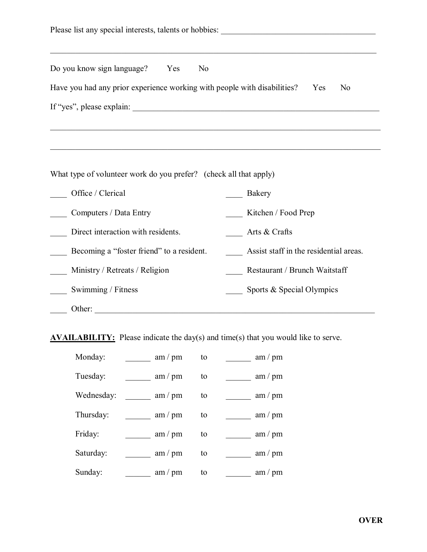| Do you know sign language? Yes<br>N <sub>0</sub>                         |                                        |  |  |  |  |  |
|--------------------------------------------------------------------------|----------------------------------------|--|--|--|--|--|
| Have you had any prior experience working with people with disabilities? | Yes<br>N <sub>0</sub>                  |  |  |  |  |  |
|                                                                          |                                        |  |  |  |  |  |
|                                                                          |                                        |  |  |  |  |  |
|                                                                          |                                        |  |  |  |  |  |
| What type of volunteer work do you prefer? (check all that apply)        |                                        |  |  |  |  |  |
| Office / Clerical                                                        | Bakery                                 |  |  |  |  |  |
| Computers / Data Entry                                                   | Kitchen / Food Prep                    |  |  |  |  |  |
| Direct interaction with residents.                                       | Arts & Crafts                          |  |  |  |  |  |
| Becoming a "foster friend" to a resident.                                | Assist staff in the residential areas. |  |  |  |  |  |
| Ministry / Retreats / Religion                                           | Restaurant / Brunch Waitstaff          |  |  |  |  |  |
| Swimming / Fitness                                                       | Sports & Special Olympics              |  |  |  |  |  |
| Other:                                                                   |                                        |  |  |  |  |  |

**AVAILABILITY:** Please indicate the day(s) and time(s) that you would like to serve.

| Monday:    | am / pm | to | am / pm |
|------------|---------|----|---------|
| Tuesday:   | am / pm | to | am / pm |
| Wednesday: | am / pm | to | am / pm |
| Thursday:  | am / pm | to | am / pm |
| Friday:    | am / pm | to | am / pm |
| Saturday:  | am / pm | to | am / pm |
| Sunday:    | am / pm | to | am / pm |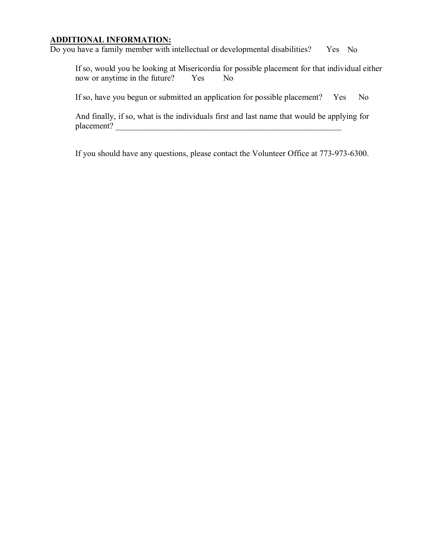### **ADDITIONAL INFORMATION:**

Do you have a family member with intellectual or developmental disabilities? Yes No

If so, would you be looking at Misericordia for possible placement for that individual either now or anytime in the future? Yes No

If so, have you begun or submitted an application for possible placement? Yes No

And finally, if so, what is the individuals first and last name that would be applying for placement?

If you should have any questions, please contact the Volunteer Office at 773-973-6300.